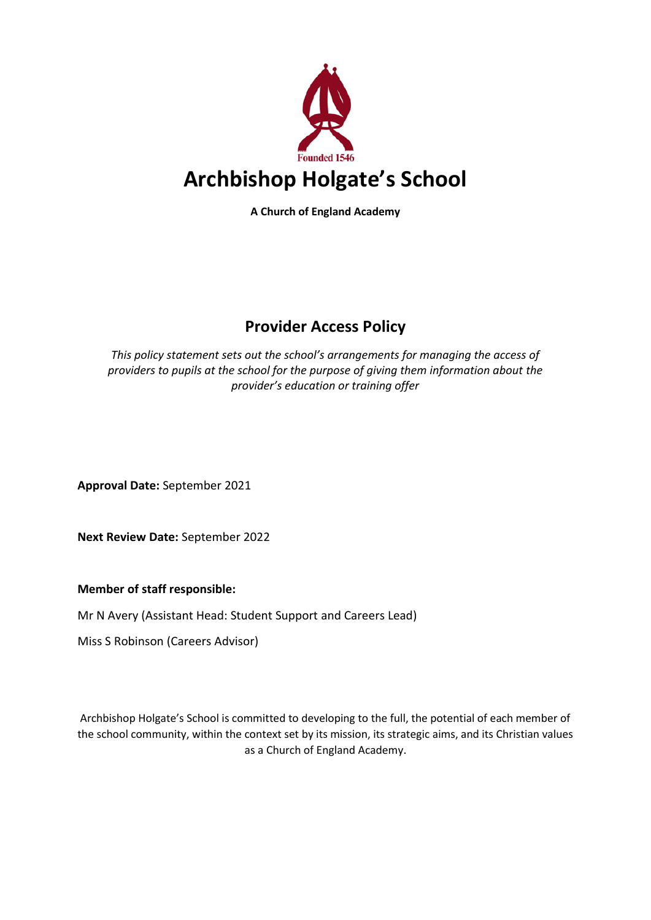

**A Church of England Academy**

# **Provider Access Policy**

*This policy statement sets out the school's arrangements for managing the access of providers to pupils at the school for the purpose of giving them information about the provider's education or training offer*

**Approval Date:** September 2021

**Next Review Date:** September 2022

**Member of staff responsible:** 

Mr N Avery (Assistant Head: Student Support and Careers Lead)

Miss S Robinson (Careers Advisor)

Archbishop Holgate's School is committed to developing to the full, the potential of each member of the school community, within the context set by its mission, its strategic aims, and its Christian values as a Church of England Academy.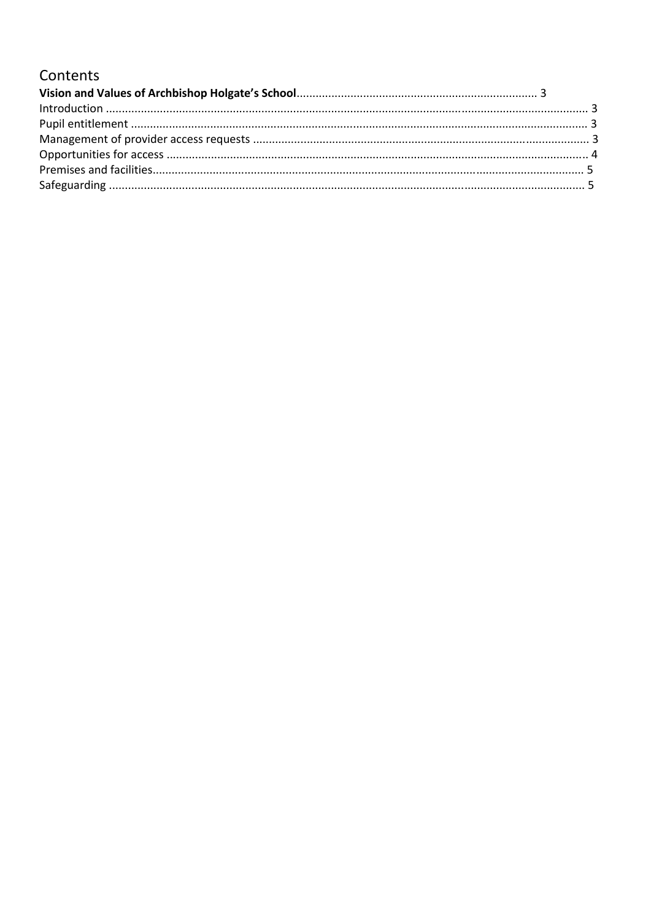## Contents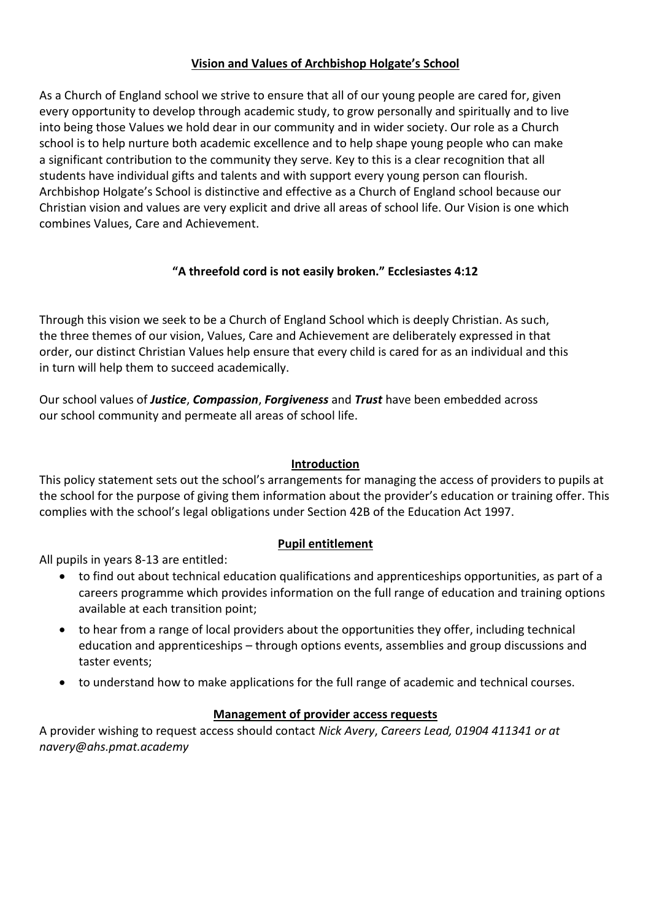## **Vision and Values of Archbishop Holgate's School**

As a Church of England school we strive to ensure that all of our young people are cared for, given every opportunity to develop through academic study, to grow personally and spiritually and to live into being those Values we hold dear in our community and in wider society. Our role as a Church school is to help nurture both academic excellence and to help shape young people who can make a significant contribution to the community they serve. Key to this is a clear recognition that all students have individual gifts and talents and with support every young person can flourish. Archbishop Holgate's School is distinctive and effective as a Church of England school because our Christian vision and values are very explicit and drive all areas of school life. Our Vision is one which combines Values, Care and Achievement.

## **"A threefold cord is not easily broken." Ecclesiastes 4:12**

Through this vision we seek to be a Church of England School which is deeply Christian. As such, the three themes of our vision, Values, Care and Achievement are deliberately expressed in that order, our distinct Christian Values help ensure that every child is cared for as an individual and this in turn will help them to succeed academically.

Our school values of *Justice*, *Compassion*, *Forgiveness* and *Trust* have been embedded across our school community and permeate all areas of school life.

### **Introduction**

This policy statement sets out the school's arrangements for managing the access of providers to pupils at the school for the purpose of giving them information about the provider's education or training offer. This complies with the school's legal obligations under Section 42B of the Education Act 1997.

## **Pupil entitlement**

All pupils in years 8-13 are entitled:

- to find out about technical education qualifications and apprenticeships opportunities, as part of a careers programme which provides information on the full range of education and training options available at each transition point;
- to hear from a range of local providers about the opportunities they offer, including technical education and apprenticeships – through options events, assemblies and group discussions and taster events;
- to understand how to make applications for the full range of academic and technical courses.

## **Management of provider access requests**

A provider wishing to request access should contact *Nick Avery*, *Careers Lead, 01904 411341 or at navery@ahs.pmat.academy*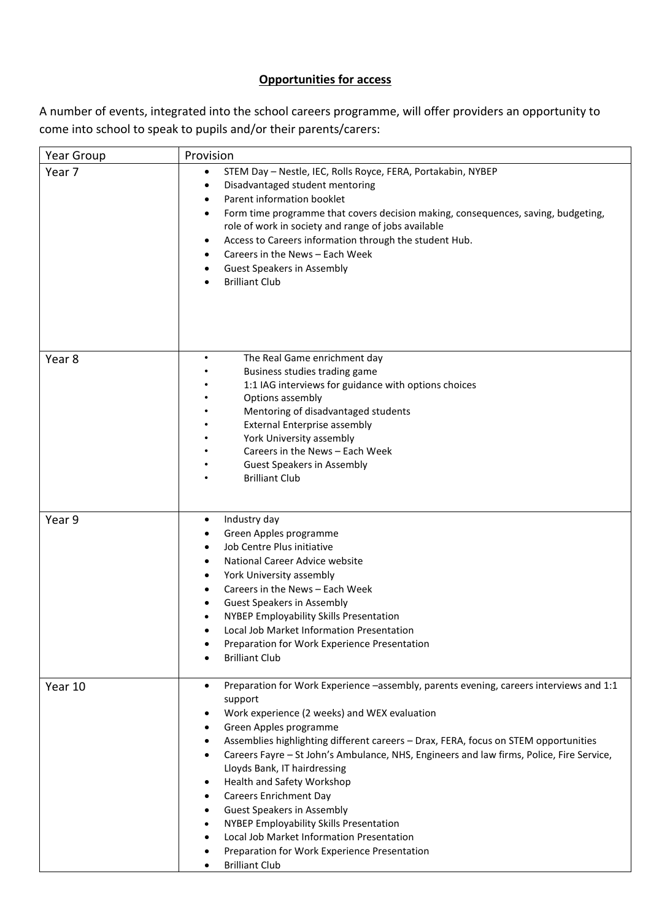## **Opportunities for access**

A number of events, integrated into the school careers programme, will offer providers an opportunity to come into school to speak to pupils and/or their parents/carers:

| Year Group        | Provision                                                                                                                                                                                                                                                                                                                                                                                                                                                                                                                                                                                                                                                                                                                                                       |
|-------------------|-----------------------------------------------------------------------------------------------------------------------------------------------------------------------------------------------------------------------------------------------------------------------------------------------------------------------------------------------------------------------------------------------------------------------------------------------------------------------------------------------------------------------------------------------------------------------------------------------------------------------------------------------------------------------------------------------------------------------------------------------------------------|
| Year 7            | STEM Day - Nestle, IEC, Rolls Royce, FERA, Portakabin, NYBEP<br>٠<br>Disadvantaged student mentoring<br>٠<br>Parent information booklet<br>٠<br>Form time programme that covers decision making, consequences, saving, budgeting,<br>٠<br>role of work in society and range of jobs available<br>Access to Careers information through the student Hub.<br>٠<br>Careers in the News - Each Week<br>٠<br><b>Guest Speakers in Assembly</b><br>$\bullet$<br><b>Brilliant Club</b><br>$\bullet$                                                                                                                                                                                                                                                                    |
| Year <sub>8</sub> | The Real Game enrichment day<br>$\bullet$<br>Business studies trading game<br>1:1 IAG interviews for guidance with options choices<br>Options assembly<br>Mentoring of disadvantaged students<br><b>External Enterprise assembly</b><br>York University assembly<br>Careers in the News - Each Week<br><b>Guest Speakers in Assembly</b><br><b>Brilliant Club</b>                                                                                                                                                                                                                                                                                                                                                                                               |
| Year 9            | Industry day<br>$\bullet$<br>Green Apples programme<br>٠<br>Job Centre Plus initiative<br>٠<br>National Career Advice website<br>٠<br>York University assembly<br>٠<br>Careers in the News - Each Week<br>٠<br><b>Guest Speakers in Assembly</b><br>$\bullet$<br>NYBEP Employability Skills Presentation<br>$\bullet$<br>Local Job Market Information Presentation<br>$\bullet$<br>Preparation for Work Experience Presentation<br><b>Brilliant Club</b>                                                                                                                                                                                                                                                                                                        |
| Year 10           | Preparation for Work Experience -assembly, parents evening, careers interviews and 1:1<br>٠<br>support<br>Work experience (2 weeks) and WEX evaluation<br>٠<br>Green Apples programme<br>٠<br>Assemblies highlighting different careers - Drax, FERA, focus on STEM opportunities<br>$\bullet$<br>Careers Fayre - St John's Ambulance, NHS, Engineers and law firms, Police, Fire Service,<br>$\bullet$<br>Lloyds Bank, IT hairdressing<br>Health and Safety Workshop<br>$\bullet$<br><b>Careers Enrichment Day</b><br>$\bullet$<br><b>Guest Speakers in Assembly</b><br>٠<br>NYBEP Employability Skills Presentation<br>٠<br>Local Job Market Information Presentation<br>٠<br>Preparation for Work Experience Presentation<br>٠<br><b>Brilliant Club</b><br>٠ |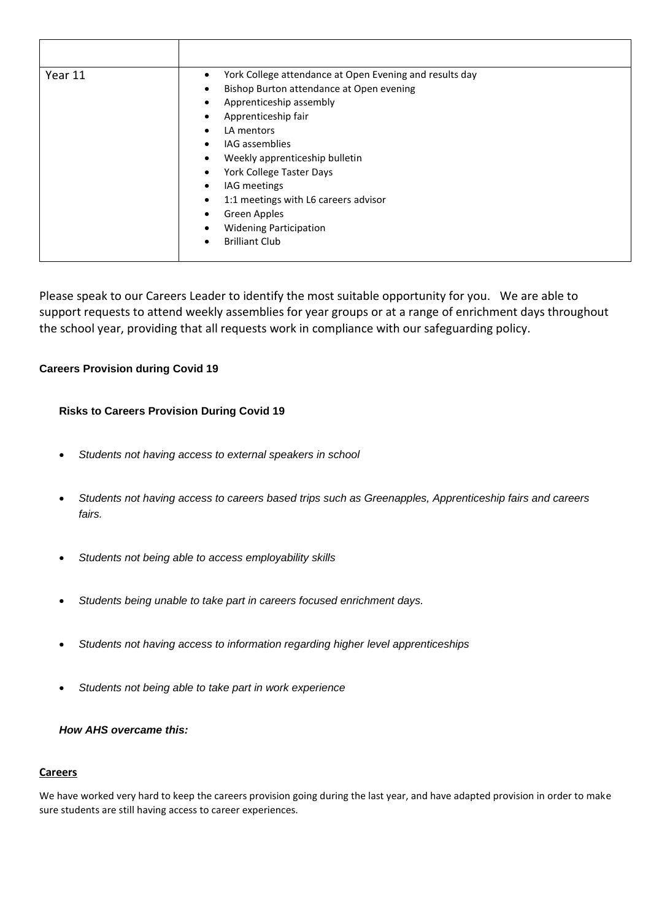| Year 11 | York College attendance at Open Evening and results day<br>٠<br>Bishop Burton attendance at Open evening<br>$\bullet$<br>Apprenticeship assembly<br>$\bullet$<br>Apprenticeship fair<br>LA mentors<br>$\bullet$<br>IAG assemblies<br>$\bullet$<br>Weekly apprenticeship bulletin<br>٠<br>York College Taster Days<br>$\bullet$<br>IAG meetings<br>٠<br>1:1 meetings with L6 careers advisor<br>$\bullet$<br>Green Apples<br>٠<br><b>Widening Participation</b><br>$\bullet$ |  |
|---------|-----------------------------------------------------------------------------------------------------------------------------------------------------------------------------------------------------------------------------------------------------------------------------------------------------------------------------------------------------------------------------------------------------------------------------------------------------------------------------|--|
|         | <b>Brilliant Club</b><br>$\bullet$                                                                                                                                                                                                                                                                                                                                                                                                                                          |  |

Please speak to our Careers Leader to identify the most suitable opportunity for you. We are able to support requests to attend weekly assemblies for year groups or at a range of enrichment days throughout the school year, providing that all requests work in compliance with our safeguarding policy.

#### **Careers Provision during Covid 19**

#### **Risks to Careers Provision During Covid 19**

- *Students not having access to external speakers in school*
- *Students not having access to careers based trips such as Greenapples, Apprenticeship fairs and careers fairs.*
- *Students not being able to access employability skills*
- *Students being unable to take part in careers focused enrichment days.*
- *Students not having access to information regarding higher level apprenticeships*
- *Students not being able to take part in work experience*

#### *How AHS overcame this:*

#### **Careers**

We have worked very hard to keep the careers provision going during the last year, and have adapted provision in order to make sure students are still having access to career experiences.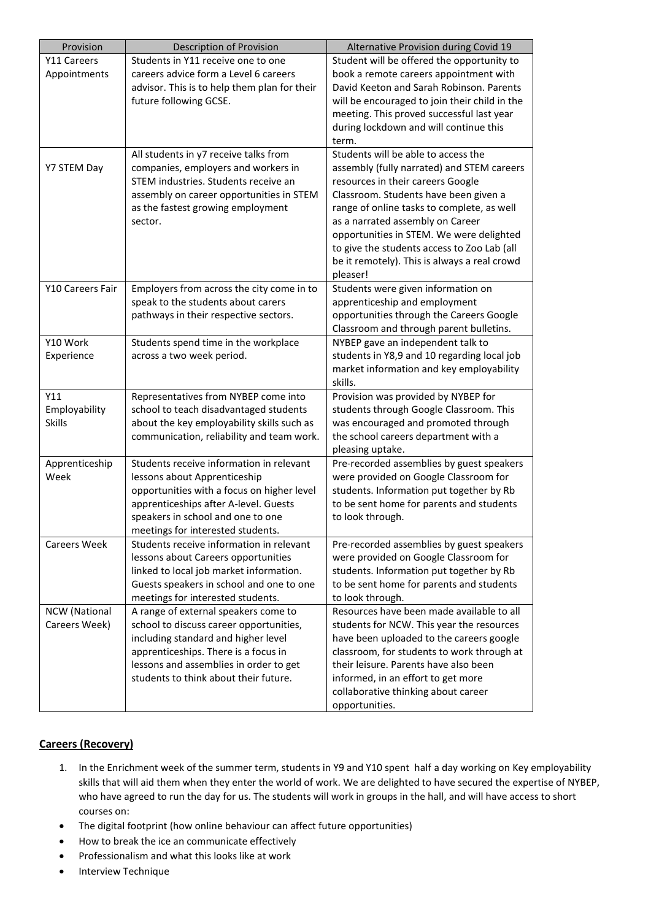| Provision            | Description of Provision                                                        | Alternative Provision during Covid 19                                               |
|----------------------|---------------------------------------------------------------------------------|-------------------------------------------------------------------------------------|
| Y11 Careers          | Students in Y11 receive one to one                                              | Student will be offered the opportunity to                                          |
| Appointments         | careers advice form a Level 6 careers                                           | book a remote careers appointment with                                              |
|                      | advisor. This is to help them plan for their                                    | David Keeton and Sarah Robinson. Parents                                            |
|                      | future following GCSE.                                                          | will be encouraged to join their child in the                                       |
|                      |                                                                                 | meeting. This proved successful last year                                           |
|                      |                                                                                 | during lockdown and will continue this                                              |
|                      |                                                                                 | term.                                                                               |
|                      | All students in y7 receive talks from                                           | Students will be able to access the                                                 |
| Y7 STEM Day          | companies, employers and workers in                                             | assembly (fully narrated) and STEM careers                                          |
|                      | STEM industries. Students receive an                                            | resources in their careers Google                                                   |
|                      | assembly on career opportunities in STEM                                        | Classroom. Students have been given a                                               |
|                      | as the fastest growing employment                                               | range of online tasks to complete, as well                                          |
|                      | sector.                                                                         | as a narrated assembly on Career                                                    |
|                      |                                                                                 | opportunities in STEM. We were delighted                                            |
|                      |                                                                                 | to give the students access to Zoo Lab (all                                         |
|                      |                                                                                 | be it remotely). This is always a real crowd                                        |
|                      |                                                                                 | pleaser!                                                                            |
| Y10 Careers Fair     | Employers from across the city come in to                                       | Students were given information on                                                  |
|                      | speak to the students about carers                                              | apprenticeship and employment                                                       |
|                      | pathways in their respective sectors.                                           | opportunities through the Careers Google                                            |
|                      |                                                                                 | Classroom and through parent bulletins.                                             |
| Y10 Work             | Students spend time in the workplace                                            | NYBEP gave an independent talk to                                                   |
| Experience           | across a two week period.                                                       | students in Y8,9 and 10 regarding local job                                         |
|                      |                                                                                 | market information and key employability                                            |
|                      |                                                                                 | skills.                                                                             |
| Y11                  | Representatives from NYBEP come into                                            | Provision was provided by NYBEP for                                                 |
| Employability        | school to teach disadvantaged students                                          | students through Google Classroom. This                                             |
| <b>Skills</b>        | about the key employability skills such as                                      | was encouraged and promoted through                                                 |
|                      | communication, reliability and team work.                                       | the school careers department with a                                                |
|                      |                                                                                 | pleasing uptake.                                                                    |
| Apprenticeship       | Students receive information in relevant                                        | Pre-recorded assemblies by guest speakers                                           |
| Week                 | lessons about Apprenticeship                                                    | were provided on Google Classroom for                                               |
|                      | opportunities with a focus on higher level                                      | students. Information put together by Rb                                            |
|                      | apprenticeships after A-level. Guests                                           | to be sent home for parents and students                                            |
|                      | speakers in school and one to one                                               | to look through.                                                                    |
|                      | meetings for interested students.                                               |                                                                                     |
| <b>Careers Week</b>  | Students receive information in relevant                                        | Pre-recorded assemblies by guest speakers                                           |
|                      | lessons about Careers opportunities                                             | were provided on Google Classroom for                                               |
|                      | linked to local job market information.                                         | students. Information put together by Rb                                            |
|                      | Guests speakers in school and one to one                                        | to be sent home for parents and students                                            |
|                      | meetings for interested students.                                               | to look through.                                                                    |
| <b>NCW</b> (National | A range of external speakers come to                                            | Resources have been made available to all                                           |
| Careers Week)        | school to discuss career opportunities,                                         | students for NCW. This year the resources                                           |
|                      | including standard and higher level                                             | have been uploaded to the careers google                                            |
|                      | apprenticeships. There is a focus in                                            | classroom, for students to work through at<br>their leisure. Parents have also been |
|                      | lessons and assemblies in order to get<br>students to think about their future. |                                                                                     |
|                      |                                                                                 | informed, in an effort to get more                                                  |
|                      |                                                                                 | collaborative thinking about career                                                 |
|                      |                                                                                 | opportunities.                                                                      |

#### **Careers (Recovery)**

- 1. In the Enrichment week of the summer term, students in Y9 and Y10 spent half a day working on Key employability skills that will aid them when they enter the world of work. We are delighted to have secured the expertise of NYBEP, who have agreed to run the day for us. The students will work in groups in the hall, and will have access to short courses on:
- The digital footprint (how online behaviour can affect future opportunities)
- How to break the ice an communicate effectively
- Professionalism and what this looks like at work
- Interview Technique